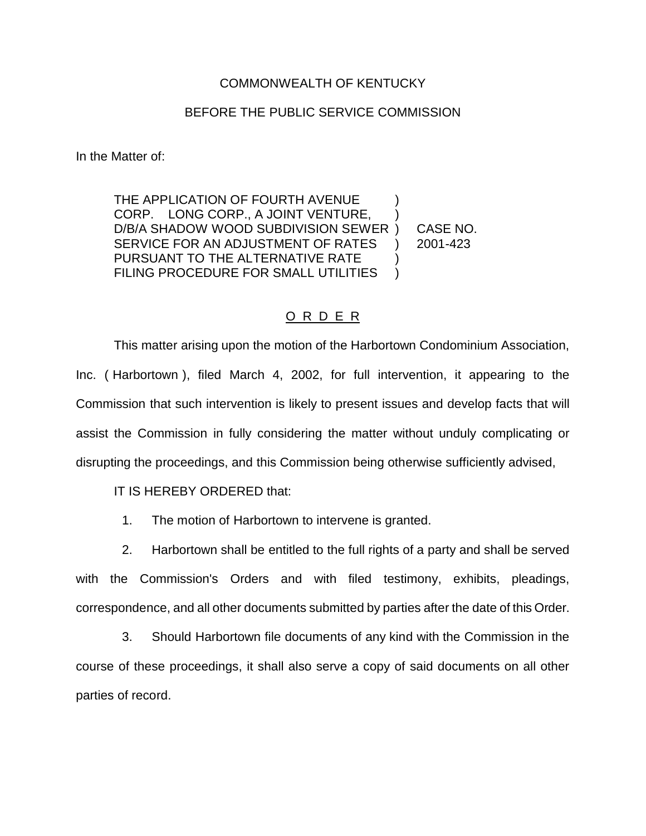## COMMONWEALTH OF KENTUCKY

## BEFORE THE PUBLIC SERVICE COMMISSION

In the Matter of:

THE APPLICATION OF FOURTH AVENUE CORP. LONG CORP., A JOINT VENTURE, D/B/A SHADOW WOOD SUBDIVISION SEWER ) CASE NO. SERVICE FOR AN ADJUSTMENT OF RATES ) 2001-423 PURSUANT TO THE ALTERNATIVE RATE FILING PROCEDURE FOR SMALL UTILITIES )

## O R D E R

This matter arising upon the motion of the Harbortown Condominium Association, Inc. ( Harbortown ), filed March 4, 2002, for full intervention, it appearing to the Commission that such intervention is likely to present issues and develop facts that will assist the Commission in fully considering the matter without unduly complicating or disrupting the proceedings, and this Commission being otherwise sufficiently advised,

IT IS HEREBY ORDERED that:

1. The motion of Harbortown to intervene is granted.

2. Harbortown shall be entitled to the full rights of a party and shall be served with the Commission's Orders and with filed testimony, exhibits, pleadings, correspondence, and all other documents submitted by parties after the date of this Order.

3. Should Harbortown file documents of any kind with the Commission in the course of these proceedings, it shall also serve a copy of said documents on all other parties of record.